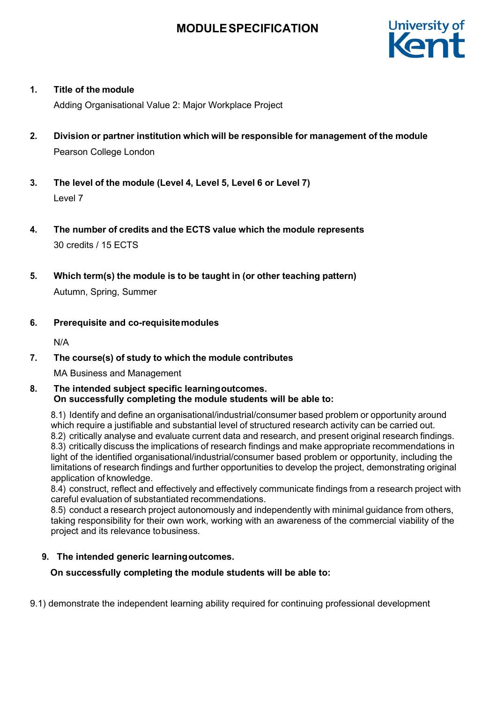

# **1. Title of the module**

Adding Organisational Value 2: Major Workplace Project

- **2. Division or partner institution which will be responsible for management of the module** Pearson College London
- **3. The level of the module (Level 4, Level 5, Level 6 or Level 7)** Level 7
- **4. The number of credits and the ECTS value which the module represents** 30 credits / 15 ECTS
- **5. Which term(s) the module is to be taught in (or other teaching pattern)** Autumn, Spring, Summer
- **6. Prerequisite and co-requisitemodules**

N/A

# **7. The course(s) of study to which the module contributes**

MA Business and Management

### **8. The intended subject specific learningoutcomes. On successfully completing the module students will be able to:**

8.1) Identify and define an organisational/industrial/consumer based problem or opportunity around which require a justifiable and substantial level of structured research activity can be carried out. 8.2) critically analyse and evaluate current data and research, and present original research findings. 8.3) critically discuss the implications of research findings and make appropriate recommendations in light of the identified organisational/industrial/consumer based problem or opportunity, including the limitations of research findings and further opportunities to develop the project, demonstrating original application of knowledge.

8.4) construct, reflect and effectively and effectively communicate findings from a research project with careful evaluation of substantiated recommendations.

8.5) conduct a research project autonomously and independently with minimal guidance from others, taking responsibility for their own work, working with an awareness of the commercial viability of the project and its relevance tobusiness.

# **9. The intended generic learningoutcomes.**

# **On successfully completing the module students will be able to:**

9.1) demonstrate the independent learning ability required for continuing professional development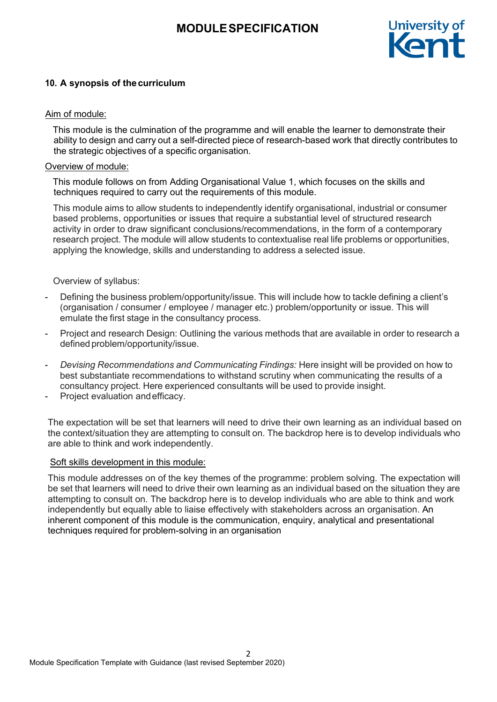

# **10. A synopsis of the curriculum**

### Aim of module:

This module is the culmination of the programme and will enable the learner to demonstrate their ability to design and carry out a self-directed piece of research-based work that directly contributes to the strategic objectives of a specific organisation.

### Overview of module:

This module follows on from Adding Organisational Value 1, which focuses on the skills and techniques required to carry out the requirements of this module.

This module aims to allow students to independently identify organisational, industrial or consumer based problems, opportunities or issues that require a substantial level of structured research activity in order to draw significant conclusions/recommendations, in the form of a contemporary research project. The module will allow students to contextualise real life problems or opportunities, applying the knowledge, skills and understanding to address a selected issue.

### Overview of syllabus:

- Defining the business problem/opportunity/issue. This will include how to tackle defining a client's (organisation / consumer / employee / manager etc.) problem/opportunity or issue. This will emulate the first stage in the consultancy process.
- Project and research Design: Outlining the various methods that are available in order to research a defined problem/opportunity/issue.
- *Devising Recommendations and Communicating Findings:* Here insight will be provided on how to best substantiate recommendations to withstand scrutiny when communicating the results of a consultancy project. Here experienced consultants will be used to provide insight.
- Project evaluation and efficacy.

The expectation will be set that learners will need to drive their own learning as an individual based on the context/situation they are attempting to consult on. The backdrop here is to develop individuals who are able to think and work independently.

#### Soft skills development in this module:

This module addresses on of the key themes of the programme: problem solving. The expectation will be set that learners will need to drive their own learning as an individual based on the situation they are attempting to consult on. The backdrop here is to develop individuals who are able to think and work independently but equally able to liaise effectively with stakeholders across an organisation. An inherent component of this module is the communication, enquiry, analytical and presentational techniques required for problem-solving in an organisation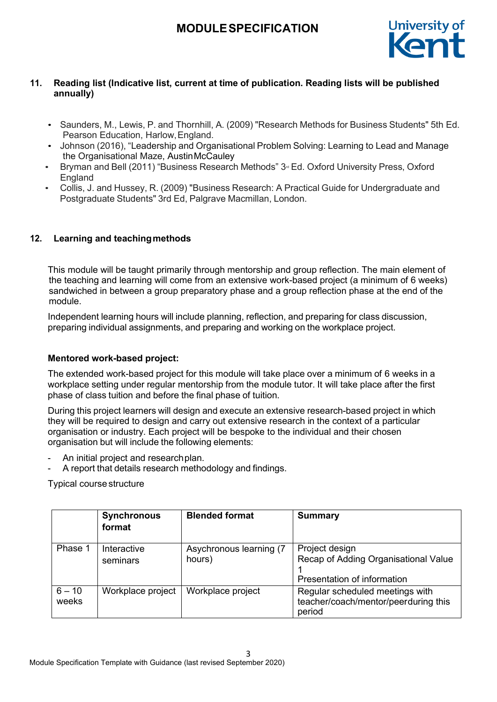

# **11. Reading list (Indicative list, current at time of publication. Reading lists will be published annually)**

- Saunders, M., Lewis, P. and Thornhill, A. (2009) "Research Methods for Business Students" 5th Ed. Pearson Education, Harlow,England.
- Johnson (2016), "Leadership and Organisational Problem Solving: Learning to Lead and Manage the Organisational Maze, AustinMcCauley
- Bryman and Bell (2011) "Business Research Methods" 3<sup>d</sup> Ed. Oxford University Press, Oxford England
- Collis, J. and Hussey, R. (2009) "Business Research: A Practical Guide for Undergraduate and Postgraduate Students" 3rd Ed, Palgrave Macmillan, London.

# **12. Learning and teachingmethods**

This module will be taught primarily through mentorship and group reflection. The main element of the teaching and learning will come from an extensive work-based project (a minimum of 6 weeks) sandwiched in between a group preparatory phase and a group reflection phase at the end of the module.

Independent learning hours will include planning, reflection, and preparing for class discussion, preparing individual assignments, and preparing and working on the workplace project.

# **Mentored work-based project:**

The extended work-based project for this module will take place over a minimum of 6 weeks in a workplace setting under regular mentorship from the module tutor. It will take place after the first phase of class tuition and before the final phase of tuition.

During this project learners will design and execute an extensive research-based project in which they will be required to design and carry out extensive research in the context of a particular organisation or industry. Each project will be bespoke to the individual and their chosen organisation but will include the following elements:

- An initial project and research plan.
- A report that details research methodology and findings.

Typical course structure

|                   | <b>Synchronous</b><br>format | <b>Blended format</b>             | <b>Summary</b>                                                                        |
|-------------------|------------------------------|-----------------------------------|---------------------------------------------------------------------------------------|
| Phase 1           | Interactive<br>seminars      | Asychronous learning (7<br>hours) | Project design<br>Recap of Adding Organisational Value<br>Presentation of information |
| $6 - 10$<br>weeks | Workplace project            | Workplace project                 | Regular scheduled meetings with<br>teacher/coach/mentor/peerduring this<br>period     |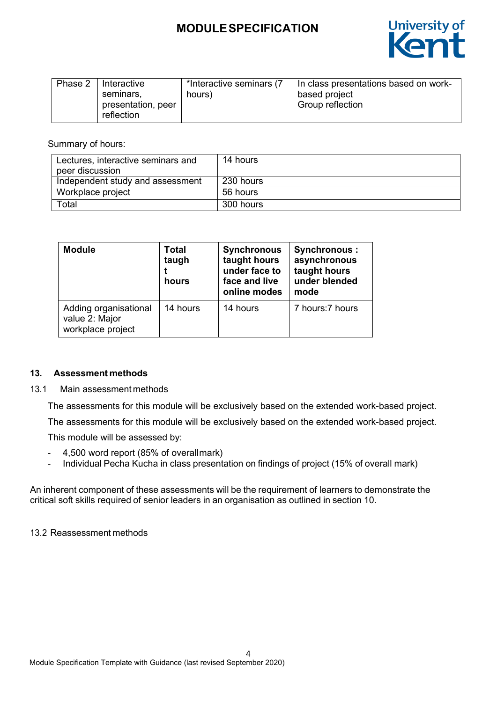

| Phase 2 | I Interactive<br>seminars.<br>presentation, peer | *Interactive seminars (7)<br>hours) | In class presentations based on work-<br>based project<br><b>Group reflection</b> |
|---------|--------------------------------------------------|-------------------------------------|-----------------------------------------------------------------------------------|
|         | reflection                                       |                                     |                                                                                   |

Summary of hours:

| Lectures, interactive seminars and<br>peer discussion | 14 hours  |
|-------------------------------------------------------|-----------|
| Independent study and assessment                      | 230 hours |
| Workplace project                                     | 56 hours  |
| Total                                                 | 300 hours |

| <b>Module</b>                                                | <b>Total</b><br>taugh<br>hours | <b>Synchronous</b><br>taught hours<br>under face to<br>face and live<br>online modes | <b>Synchronous:</b><br>asynchronous<br>taught hours<br>under blended<br>mode |
|--------------------------------------------------------------|--------------------------------|--------------------------------------------------------------------------------------|------------------------------------------------------------------------------|
| Adding organisational<br>value 2: Major<br>workplace project | 14 hours                       | 14 hours                                                                             | 7 hours: 7 hours                                                             |

# **13. Assessment methods**

13.1 Main assessment methods

The assessments for this module will be exclusively based on the extended work-based project.

The assessments for this module will be exclusively based on the extended work-based project.

This module will be assessed by:

- 4,500 word report (85% of overallmark)
- Individual Pecha Kucha in class presentation on findings of project (15% of overall mark)

An inherent component of these assessments will be the requirement of learners to demonstrate the critical soft skills required of senior leaders in an organisation as outlined in section 10.

13.2 Reassessment methods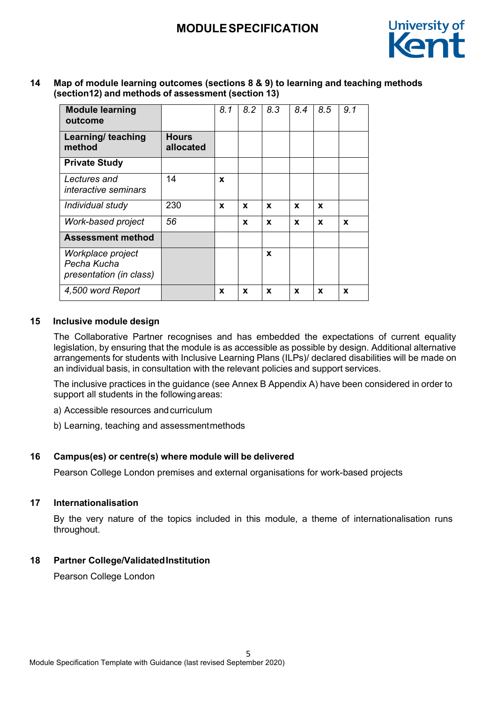

**14 Map of module learning outcomes (sections 8 & 9) to learning and teaching methods (section12) and methods of assessment (section 13)**

| <b>Module learning</b><br>outcome                           |                           | 8.1 | 8.2 | 8.3 | 8.4 | 8.5 | 9.1 |
|-------------------------------------------------------------|---------------------------|-----|-----|-----|-----|-----|-----|
| Learning/ teaching<br>method                                | <b>Hours</b><br>allocated |     |     |     |     |     |     |
| <b>Private Study</b>                                        |                           |     |     |     |     |     |     |
| Lectures and<br>interactive seminars                        | 14                        | X   |     |     |     |     |     |
| Individual study                                            | 230                       | X   | X   | X   | X   | X   |     |
| Work-based project                                          | 56                        |     | X   | X   | X   | X   | X   |
| <b>Assessment method</b>                                    |                           |     |     |     |     |     |     |
| Workplace project<br>Pecha Kucha<br>presentation (in class) |                           |     |     | X   |     |     |     |
| 4,500 word Report                                           |                           | X   | X   | X   | x   | X   | x   |

# **15 Inclusive module design**

The Collaborative Partner recognises and has embedded the expectations of current equality legislation, by ensuring that the module is as accessible as possible by design. Additional alternative arrangements for students with Inclusive Learning Plans (ILPs)/ declared disabilities will be made on an individual basis, in consultation with the relevant policies and support services.

The inclusive practices in the guidance (see Annex B Appendix A) have been considered in order to support all students in the followingareas:

- a) Accessible resources andcurriculum
- b) Learning, teaching and assessmentmethods

# **16 Campus(es) or centre(s) where module will be delivered**

Pearson College London premises and external organisations for work-based projects

#### **17 Internationalisation**

By the very nature of the topics included in this module, a theme of internationalisation runs throughout.

# **18 Partner College/ValidatedInstitution**

Pearson College London